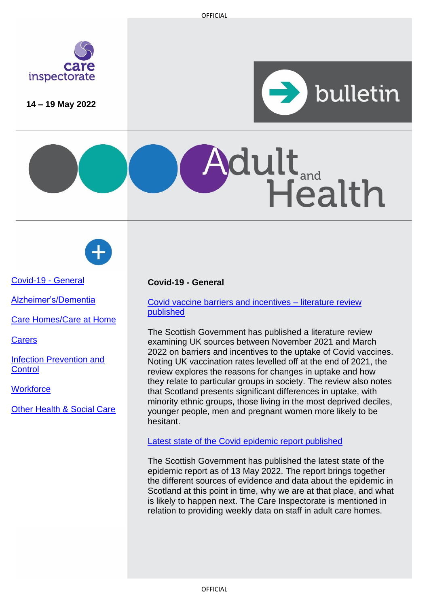

**14 – 19 May 2022**



Health

[Covid-19 -](#page-0-0) General

[Alzheimer's/Dementia](#page-1-0)

[Care Homes/Care at Home](#page-1-1)

**[Carers](#page-1-2)** 

[Infection Prevention and](#page-2-0) **[Control](#page-2-0)** 

**[Workforce](#page-2-1)** 

[Other Health & Social Care](#page-3-0)

# <span id="page-0-0"></span>**Covid-19 - General**

Covid vaccine [barriers and incentives](https://www.gov.scot/publications/covid-19-vaccine-barriers-incentives-uptake-literature-review/) – literature review [published](https://www.gov.scot/publications/covid-19-vaccine-barriers-incentives-uptake-literature-review/)

The Scottish Government has published a literature review examining UK sources between November 2021 and March 2022 on barriers and incentives to the uptake of Covid vaccines. Noting UK vaccination rates levelled off at the end of 2021, the review explores the reasons for changes in uptake and how they relate to particular groups in society. The review also notes that Scotland presents significant differences in uptake, with minority ethnic groups, those living in the most deprived deciles, younger people, men and pregnant women more likely to be hesitant.

dult<sub>and</sub>

[Latest state of the Covid](https://www.gov.scot/publications/coronavirus-covid-19-state-epidemic-13-2022/) epidemic report published

The Scottish Government has published the latest state of the epidemic report as of 13 May 2022. The report brings together the different sources of evidence and data about the epidemic in Scotland at this point in time, why we are at that place, and what is likely to happen next. The Care Inspectorate is mentioned in relation to providing weekly data on staff in adult care homes.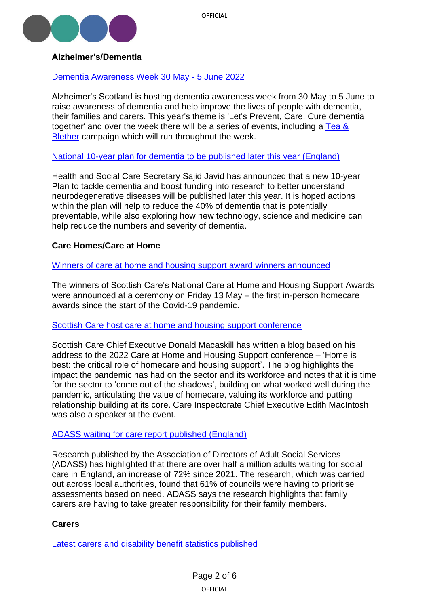

# <span id="page-1-0"></span>**Alzheimer's/Dementia**

# [Dementia Awareness Week](https://www.alzscot.org/DAW2022) 30 May - 5 June 2022

Alzheimer's Scotland is hosting dementia awareness week from 30 May to 5 June to raise awareness of dementia and help improve the lives of people with dementia, their families and carers. This year's theme is 'Let's Prevent, Care, Cure dementia together' and over the week there will be a series of events, including a [Tea &](https://blether.alzscot.org/)  [Blether](https://blether.alzscot.org/) campaign which will run throughout the week.

# [National 10-year plan for dementia to](https://www.gov.uk/government/news/health-secretary-announces-10-year-plan-for-dementia) be published later this year (England)

Health and Social Care Secretary Sajid Javid has announced that a new 10-year Plan to tackle dementia and boost funding into research to better understand neurodegenerative diseases will be published later this year. It is hoped actions within the plan will help to reduce the 40% of dementia that is potentially preventable, while also exploring how new technology, science and medicine can help reduce the numbers and severity of dementia.

# <span id="page-1-1"></span>**Care Homes/Care at Home**

## [Winners of care at home and housing support award winners announced](https://scottishcare.org/care-at-home-housing-support-awards-2022-winners/)

The winners of Scottish Care's National Care at Home and Housing Support Awards were announced at a ceremony on Friday 13 May – the first in-person homecare awards since the start of the Covid-19 pandemic.

## [Scottish Care host care at home and](https://scottishcare.org/out-of-the-shadows-reimagining-home-as-a-place-of-care/) housing support conference

Scottish Care Chief Executive Donald Macaskill has written a blog based on his address to the 2022 Care at Home and Housing Support conference – 'Home is best: the critical role of homecare and housing support'. The blog highlights the impact the pandemic has had on the sector and its workforce and notes that it is time for the sector to 'come out of the shadows', building on what worked well during the pandemic, articulating the value of homecare, valuing its workforce and putting relationship building at its core. Care Inspectorate Chief Executive Edith MacIntosh was also a speaker at the event.

## [ADASS waiting for care report published \(England\)](https://www.adass.org.uk/media/9215/adass-survey-waiting-for-care-support-may-2022-final.pdf)

Research published by the Association of Directors of Adult Social Services (ADASS) has highlighted that there are over half a million adults waiting for social care in England, an increase of 72% since 2021. The research, which was carried out across local authorities, found that 61% of councils were having to prioritise assessments based on need. ADASS says the research highlights that family carers are having to take greater responsibility for their family members.

## <span id="page-1-2"></span>**Carers**

Latest carers [and disability benefit](https://www.gov.scot/publications/benefits-for-carers-and-disability-assistance-at-november-2021-summary-statistics/) statistics published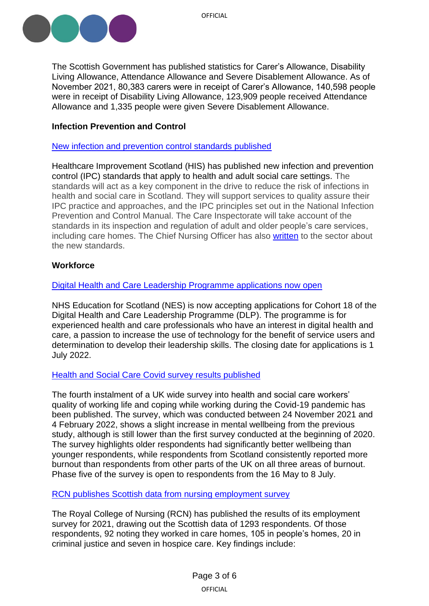

OFFICIAL

The Scottish Government has published statistics for Carer's Allowance, Disability Living Allowance, Attendance Allowance and Severe Disablement Allowance. As of November 2021, 80,383 carers were in receipt of Carer's Allowance, 140,598 people were in receipt of Disability Living Allowance, 123,909 people received Attendance Allowance and 1,335 people were given Severe Disablement Allowance.

# <span id="page-2-0"></span>**Infection Prevention and Control**

[New infection and prevention control standards published](https://www.healthcareimprovementscotland.org/our_work/standards_and_guidelines/stnds/ipc_standards.aspx)

Healthcare Improvement Scotland (HIS) has published new infection and prevention control (IPC) standards that apply to health and adult social care settings. The standards will act as a key component in the drive to reduce the risk of infections in health and social care in Scotland. They will support services to quality assure their IPC practice and approaches, and the IPC principles set out in the National Infection Prevention and Control Manual. The Care Inspectorate will take account of the standards in its inspection and regulation of adult and older people's care services, including care homes. The Chief Nursing Officer has also [written](https://www.sehd.scot.nhs.uk/dl/DL(2022)14.pdf?utm_medium=email&utm_source=govdelivery) to the sector about the new standards.

# <span id="page-2-1"></span>**Workforce**

## [Digital Health and Care Leadership Programme applications now open](https://learn.nes.nhs.scot/52828/digital-health-and-care-leadership-programme-dlp/dlp-recruitment?gator_td=qjXBH%2b8Xntz49XPqB%2f2d6m5tUBFrbigvxH03fnLMv2Ij1ts2AMMR0fD1ZZz1kdPi4zBCKdpyt3Lyk%2bMZqJHfTr6g9wanZH%2b3Z0fWI%2fa7xwFHbZxyjEoc8zeCrbDOIvnaM6GeAKlJyiKWVr1wd96wfGHHbX6fOiwyrV%2bEEuHRMIdC%2fcClXMxvOrvV5lnD09W23GkrhaAgq5bBa6a%2fAEZ9pRuJBX2bWEXuBtv8XgylN%2bnSZb%2bFYsRUaQe%2bNuyl9Min)

NHS Education for Scotland (NES) is now accepting applications for Cohort 18 of the Digital Health and Care Leadership Programme (DLP). The programme is for experienced health and care professionals who have an interest in digital health and care, a passion to increase the use of technology for the benefit of service users and determination to develop their leadership skills. The closing date for applications is 1 July 2022.

# [Health and Social Care Covid survey results published](https://www.hscworkforcestudy.co.uk/_files/ugd/2749ea_b274e9e90dd74682a34de9ef6efc16c6.pdf)

The fourth instalment of a UK wide survey into health and social care workers' quality of working life and coping while working during the Covid-19 pandemic has been published. The survey, which was conducted between 24 November 2021 and 4 February 2022, shows a slight increase in mental wellbeing from the previous study, although is still lower than the first survey conducted at the beginning of 2020. The survey highlights older respondents had significantly better wellbeing than younger respondents, while respondents from Scotland consistently reported more burnout than respondents from other parts of the UK on all three areas of burnout. Phase five of the survey is open to respondents from the 16 May to 8 July.

## [RCN publishes Scottish data from nursing employment survey](https://www.rcn.org.uk/Professional-Development/publications/employment-survey-2021-scotland-uk-pub-010-155)

The Royal College of Nursing (RCN) has published the results of its employment survey for 2021, drawing out the Scottish data of 1293 respondents. Of those respondents, 92 noting they worked in care homes, 105 in people's homes, 20 in criminal justice and seven in hospice care. Key findings include: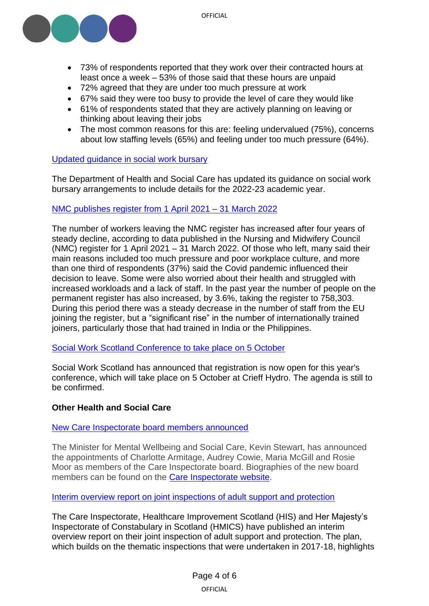

- 73% of respondents reported that they work over their contracted hours at least once a week – 53% of those said that these hours are unpaid
- 72% agreed that they are under too much pressure at work
- 67% said they were too busy to provide the level of care they would like
- 61% of respondents stated that they are actively planning on leaving or thinking about leaving their jobs
- The most common reasons for this are: feeling undervalued (75%), concerns about low staffing levels (65%) and feeling under too much pressure (64%).

# [Updated guidance in social work bursary](https://www.gov.uk/government/publications/reforming-social-work-bursary-information-packs#full-publication-update-history)

The Department of Health and Social Care has updated its guidance on social work bursary arrangements to include details for the 2022-23 academic year.

# [NMC publishes register from 1 April 2021 –](https://www.nmc.org.uk/globalassets/sitedocuments/data-reports/march-2022/nmc-register-march-2022.pdf) 31 March 2022

The number of workers leaving the NMC register has increased after four years of steady decline, according to data published in the Nursing and Midwifery Council (NMC) register for 1 April 2021 – 31 March 2022. Of those who left, many said their main reasons included too much pressure and poor workplace culture, and more than one third of respondents (37%) said the Covid pandemic influenced their decision to leave. Some were also worried about their health and struggled with increased workloads and a lack of staff. In the past year the number of people on the permanent register has also increased, by 3.6%, taking the register to 758,303. During this period there was a steady decrease in the number of staff from the EU joining the register, but a "significant rise" in the number of internationally trained joiners, particularly those that had trained in India or the Philippines.

## Social Work Scotland [Conference to take place on 5 October](https://www.registerforevent.co.uk/sws2022/)

Social Work Scotland has announced that registration is now open for this year's conference, which will take place on 5 October at Crieff Hydro. The agenda is still to be confirmed.

## <span id="page-3-0"></span>**Other Health and Social Care**

[New Care Inspectorate board members announced](https://www.careinspectorate.com/index.php/news/6675-new-board-members-announced)

The Minister for Mental Wellbeing and Social Care, Kevin Stewart, has announced the appointments of Charlotte Armitage, Audrey Cowie, Maria McGill and Rosie Moor as members of the Care Inspectorate board. Biographies of the new board members can be found on the [Care Inspectorate website.](https://www.careinspectorate.com/index.php/our-board)

#### [Interim overview report on joint inspections of adult support and protection](https://www.careinspectorate.com/images/documents/6666/Joint%20inspections%20of%20adult%20support%20and%20protection%20overview%20report%202022.pdf)

The Care Inspectorate, Healthcare Improvement Scotland (HIS) and Her Majesty's Inspectorate of Constabulary in Scotland (HMICS) have published an interim overview report on their joint inspection of adult support and protection. The plan, which builds on the thematic inspections that were undertaken in 2017-18, highlights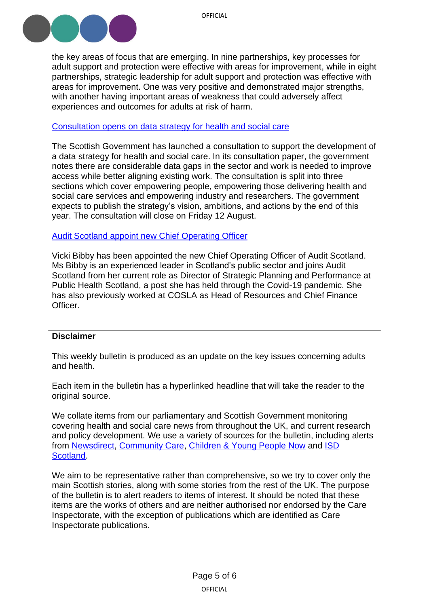

the key areas of focus that are emerging. In nine partnerships, key processes for adult support and protection were effective with areas for improvement, while in eight partnerships, strategic leadership for adult support and protection was effective with areas for improvement. One was very positive and demonstrated major strengths, with another having important areas of weakness that could adversely affect experiences and outcomes for adults at risk of harm.

#### [Consultation opens on data strategy for health and social care](https://consult.gov.scot/digital-health/data-strategy-for-health-and-social-care/)

The Scottish Government has launched a consultation to support the development of a data strategy for health and social care. In its consultation paper, the government notes there are considerable data gaps in the sector and work is needed to improve access while better aligning existing work. The consultation is split into three sections which cover empowering people, empowering those delivering health and social care services and empowering industry and researchers. The government expects to publish the strategy's vision, ambitions, and actions by the end of this year. The consultation will close on Friday 12 August.

## [Audit Scotland appoint new Chief Operating Officer](https://www.audit-scotland.gov.uk/news/vicki-bibby-appointed-new-chief-operating-officer)

Vicki Bibby has been appointed the new Chief Operating Officer of Audit Scotland. Ms Bibby is an experienced leader in Scotland's public sector and joins Audit Scotland from her current role as Director of Strategic Planning and Performance at Public Health Scotland, a post she has held through the Covid-19 pandemic. She has also previously worked at COSLA as Head of Resources and Chief Finance Officer.

#### **Disclaimer**

This weekly bulletin is produced as an update on the key issues concerning adults and health.

Each item in the bulletin has a hyperlinked headline that will take the reader to the original source.

We collate items from our parliamentary and Scottish Government monitoring covering health and social care news from throughout the UK, and current research and policy development. We use a variety of sources for the bulletin, including alerts from [Newsdirect,](https://news.direct/) [Community Care,](http://www.communitycare.co.uk/Home/) [Children & Young People Now](https://www.cypnow.co.uk/) and [ISD](http://www.media.scot.nhs.uk/)  [Scotland.](http://www.media.scot.nhs.uk/)

We aim to be representative rather than comprehensive, so we try to cover only the main Scottish stories, along with some stories from the rest of the UK. The purpose of the bulletin is to alert readers to items of interest. It should be noted that these items are the works of others and are neither authorised nor endorsed by the Care Inspectorate, with the exception of publications which are identified as Care Inspectorate publications.